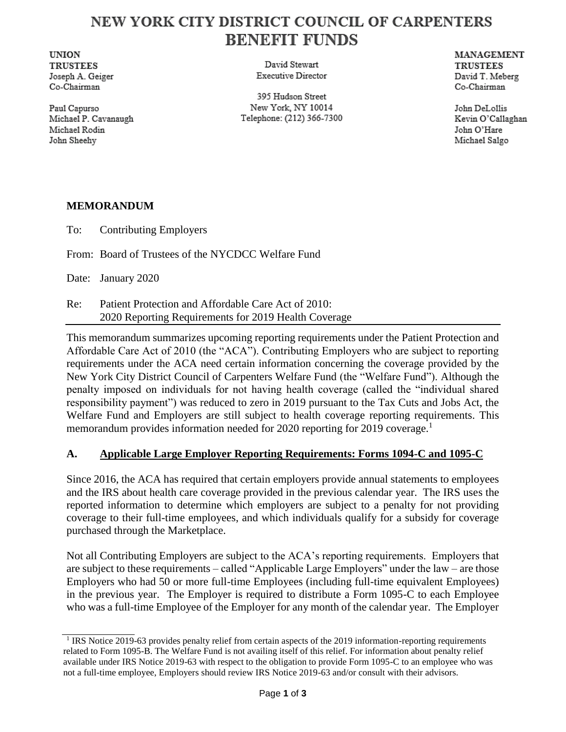# NEW YORK CITY DISTRICT COUNCIL OF CARPENTERS **BENEFIT FUNDS**

**UNION TRUSTEES** Joseph A. Geiger Co-Chairman

Paul Capurso Michael P. Cavanaugh Michael Rodin John Sheehy

David Stewart Executive Director

395 Hudson Street New York, NY 10014 Telephone: (212) 366-7300 MANAGEMENT **TRUSTEES** David T. Meberg Co-Chairman

John DeLollis Kevin O'Callaghan John O'Hare Michael Salgo

## **MEMORANDUM**

To: Contributing Employers

From: Board of Trustees of the NYCDCC Welfare Fund

Date: January 2020

Re: Patient Protection and Affordable Care Act of 2010: 2020 Reporting Requirements for 2019 Health Coverage

This memorandum summarizes upcoming reporting requirements under the Patient Protection and Affordable Care Act of 2010 (the "ACA"). Contributing Employers who are subject to reporting requirements under the ACA need certain information concerning the coverage provided by the New York City District Council of Carpenters Welfare Fund (the "Welfare Fund"). Although the penalty imposed on individuals for not having health coverage (called the "individual shared responsibility payment") was reduced to zero in 2019 pursuant to the Tax Cuts and Jobs Act, the Welfare Fund and Employers are still subject to health coverage reporting requirements. This memorandum provides information needed for 2020 reporting for 2019 coverage.<sup>1</sup>

## **A. Applicable Large Employer Reporting Requirements: Forms 1094-C and 1095-C**

Since 2016, the ACA has required that certain employers provide annual statements to employees and the IRS about health care coverage provided in the previous calendar year. The IRS uses the reported information to determine which employers are subject to a penalty for not providing coverage to their full-time employees, and which individuals qualify for a subsidy for coverage purchased through the Marketplace.

Not all Contributing Employers are subject to the ACA's reporting requirements. Employers that are subject to these requirements – called "Applicable Large Employers" under the law – are those Employers who had 50 or more full-time Employees (including full-time equivalent Employees) in the previous year. The Employer is required to distribute a Form 1095-C to each Employee who was a full-time Employee of the Employer for any month of the calendar year. The Employer

<sup>&</sup>lt;sup>1</sup> IRS Notice 2019-63 provides penalty relief from certain aspects of the 2019 information-reporting requirements related to Form 1095-B. The Welfare Fund is not availing itself of this relief. For information about penalty relief available under IRS Notice 2019-63 with respect to the obligation to provide Form 1095-C to an employee who was not a full-time employee, Employers should review IRS Notice 2019-63 and/or consult with their advisors.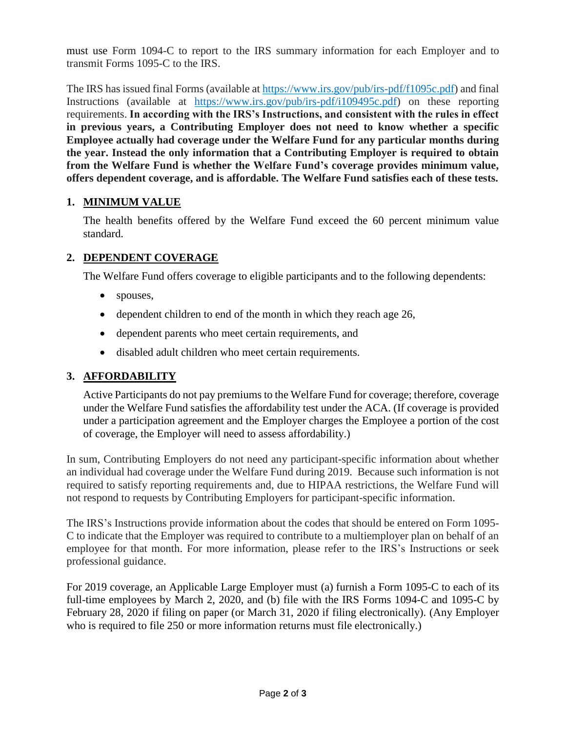must use Form 1094-C to report to the IRS summary information for each Employer and to transmit Forms 1095-C to the IRS.

The IRS has issued final Forms (available at https://www.irs.gov/pub/irs-pdf/f1095c.pdf) and final Instructions (available at https://www.irs.gov/pub/irs-pdf/i109495c.pdf) on these reporting requirements. **In according with the IRS's Instructions, and consistent with the rules in effect in previous years, a Contributing Employer does not need to know whether a specific Employee actually had coverage under the Welfare Fund for any particular months during the year. Instead the only information that a Contributing Employer is required to obtain from the Welfare Fund is whether the Welfare Fund's coverage provides minimum value, offers dependent coverage, and is affordable. The Welfare Fund satisfies each of these tests.** 

#### **1. MINIMUM VALUE**

The health benefits offered by the Welfare Fund exceed the 60 percent minimum value standard.

#### **2. DEPENDENT COVERAGE**

The Welfare Fund offers coverage to eligible participants and to the following dependents:

- spouses,
- dependent children to end of the month in which they reach age 26,
- dependent parents who meet certain requirements, and
- disabled adult children who meet certain requirements.

#### **3. AFFORDABILITY**

Active Participants do not pay premiums to the Welfare Fund for coverage; therefore, coverage under the Welfare Fund satisfies the affordability test under the ACA. (If coverage is provided under a participation agreement and the Employer charges the Employee a portion of the cost of coverage, the Employer will need to assess affordability.)

In sum, Contributing Employers do not need any participant-specific information about whether an individual had coverage under the Welfare Fund during 2019. Because such information is not required to satisfy reporting requirements and, due to HIPAA restrictions, the Welfare Fund will not respond to requests by Contributing Employers for participant-specific information.

The IRS's Instructions provide information about the codes that should be entered on Form 1095- C to indicate that the Employer was required to contribute to a multiemployer plan on behalf of an employee for that month. For more information, please refer to the IRS's Instructions or seek professional guidance.

For 2019 coverage, an Applicable Large Employer must (a) furnish a Form 1095-C to each of its full-time employees by March 2, 2020, and (b) file with the IRS Forms 1094-C and 1095-C by February 28, 2020 if filing on paper (or March 31, 2020 if filing electronically). (Any Employer who is required to file 250 or more information returns must file electronically.)